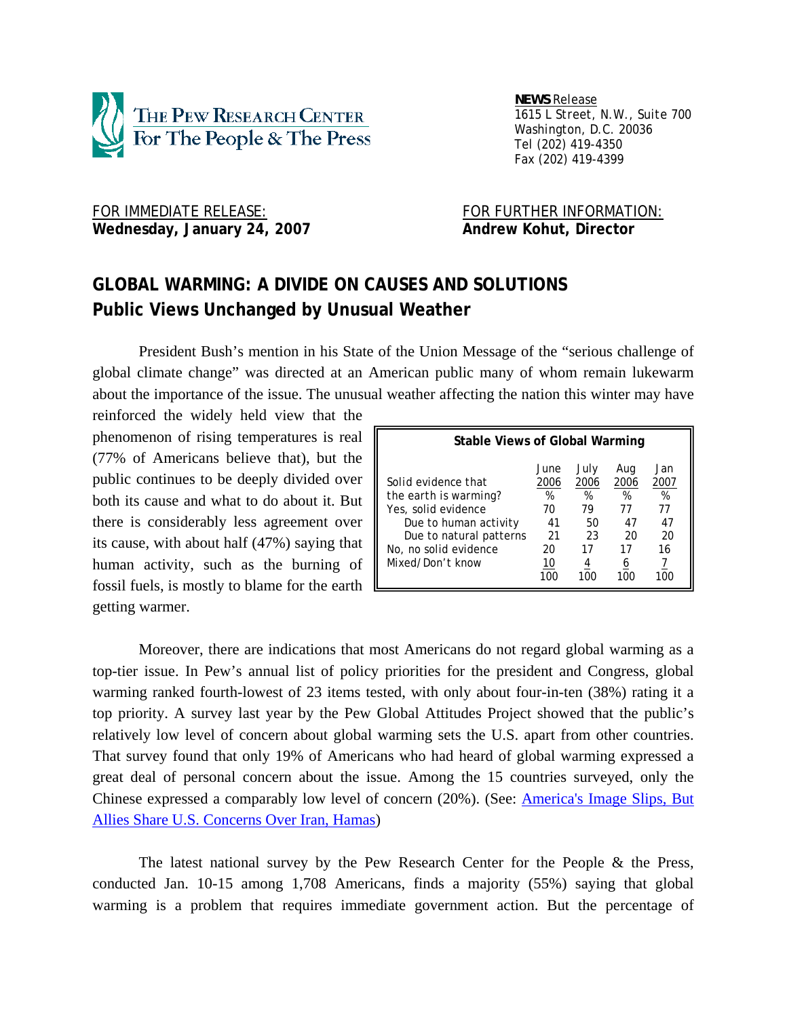

 *NEWS Release 1615 L Street, N.W., Suite 700 Washington, D.C. 20036 Tel (202) 419-4350 Fax (202) 419-4399*

FOR IMMEDIATE RELEASE: FOR FURTHER INFORMATION: Wednesday, January 24, 2007 **Andrew Kohut, Director** 

# **GLOBAL WARMING: A DIVIDE ON CAUSES AND SOLUTIONS Public Views Unchanged by Unusual Weather**

 President Bush's mention in his State of the Union Message of the "serious challenge of global climate change" was directed at an American public many of whom remain lukewarm about the importance of the issue. The unusual weather affecting the nation this winter may have

reinforced the widely held view that the phenomenon of rising temperatures is real (77% of Americans believe that), but the public continues to be deeply divided over both its cause and what to do about it. But there is considerably less agreement over its cause, with about half (47%) saying that human activity, such as the burning of fossil fuels, is mostly to blame for the earth  $\Box$ getting warmer.

| <b>Stable Views of Global Warming</b>                                                                                                            |                                           |                                           |                                          |                                          |  |
|--------------------------------------------------------------------------------------------------------------------------------------------------|-------------------------------------------|-------------------------------------------|------------------------------------------|------------------------------------------|--|
| Solid evidence that<br>the earth is warming?<br>Yes, solid evidence<br>Due to human activity<br>Due to natural patterns<br>No, no solid evidence | June<br>2006<br>%<br>70<br>41<br>21<br>20 | July<br>2006<br>%<br>79<br>50<br>23<br>17 | Aug<br>2006<br>%<br>77<br>47<br>20<br>17 | Jan<br>2007<br>%<br>77<br>47<br>20<br>16 |  |
| Mixed/Don't know                                                                                                                                 | 10<br>100                                 | 4                                         | 6<br>100                                 | 1በር                                      |  |

 Moreover, there are indications that most Americans do not regard global warming as a top-tier issue. In Pew's annual list of policy priorities for the president and Congress, global warming ranked fourth-lowest of 23 items tested, with only about four-in-ten (38%) rating it a top priority. A survey last year by the Pew Global Attitudes Project showed that the public's relatively low level of concern about global warming sets the U.S. apart from other countries. That survey found that only 19% of Americans who had heard of global warming expressed a great deal of personal concern about the issue. Among the 15 countries surveyed, only the Chinese expressed a comparably low level of concern (20%). (See: America's Image Slips, But Allies Share U.S. Concerns Over Iran, Hamas)

The latest national survey by the Pew Research Center for the People  $\&$  the Press, conducted Jan. 10-15 among 1,708 Americans, finds a majority (55%) saying that global warming is a problem that requires immediate government action. But the percentage of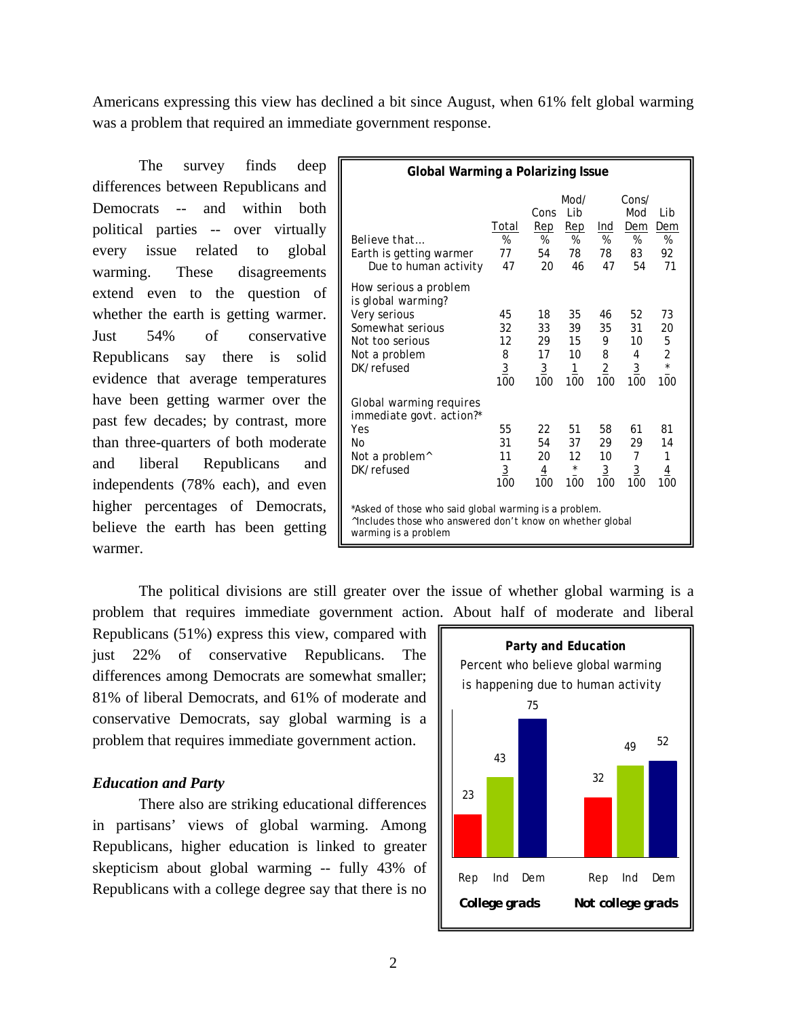Americans expressing this view has declined a bit since August, when 61% felt global warming was a problem that required an immediate government response.

The survey finds deep differences between Republicans and Democrats -- and within both political parties -- over virtually every issue related to global warming. These disagreements extend even to the question of whether the earth is getting warmer. Just 54% of conservative Republicans say there is solid evidence that average temperatures have been getting warmer over the past few decades; by contrast, more than three-quarters of both moderate and liberal Republicans and independents (78% each), and even higher percentages of Democrats, believe the earth has been getting warmer.

| Global Warming a Polarizing Issue                                                                                                         |                                         |                                               |                                               |                                             |                                              |                                                               |
|-------------------------------------------------------------------------------------------------------------------------------------------|-----------------------------------------|-----------------------------------------------|-----------------------------------------------|---------------------------------------------|----------------------------------------------|---------------------------------------------------------------|
| Believe that<br>Earth is getting warmer<br>Due to human activity                                                                          | Total<br>%<br>77<br>47                  | Cons<br>Rep<br>%<br>54<br>20                  | Mod/<br>l ib<br>Rep<br>%<br>78<br>46          | Ind<br>%<br>78<br>47                        | Cons/<br>Mod<br>Dem<br>%<br>83<br>54         | I ib<br>Dem<br>%<br>92<br>71                                  |
| How serious a problem<br>is global warming?<br>Very serious<br>Somewhat serious<br>Not too serious<br>Not a problem<br>DK/refused         | 45<br>32<br>12<br>8<br>$\frac{3}{100}$  | 18<br>33<br>29<br>17<br>$\overline{3}$<br>100 | 35<br>39<br>15<br>10<br>$\overline{1}$<br>100 | 46<br>35<br>9<br>8<br>$\overline{2}$<br>100 | 52<br>31<br>10<br>4<br>$\overline{3}$<br>100 | 73<br>20<br>5<br>$\overline{\mathbf{c}}$<br>$_{\star}$<br>100 |
| Global warming requires<br>immediate govt. action?*<br>Yes<br>Nο<br>Not a problem^<br>DK/refused                                          | 55<br>31<br>11<br>$\overline{3}$<br>100 | 22<br>54<br>20<br>$\overline{4}$<br>100       | 51<br>37<br>12<br>$\star$<br>100              | 58<br>29<br>10<br>$\overline{3}$<br>100     | 61<br>29<br>7<br>$\overline{3}$<br>100       | 81<br>14<br>1<br>$\overline{4}$<br>100                        |
| *Asked of those who said global warming is a problem.<br>Ancludes those who answered don't know on whether global<br>warming is a problem |                                         |                                               |                                               |                                             |                                              |                                                               |

 The political divisions are still greater over the issue of whether global warming is a problem that requires immediate government action. About half of moderate and liberal

Republicans (51%) express this view, compared with just 22% of conservative Republicans. The differences among Democrats are somewhat smaller; 81% of liberal Democrats, and 61% of moderate and conservative Democrats, say global warming is a problem that requires immediate government action.

# *Education and Party*

 There also are striking educational differences in partisans' views of global warming. Among Republicans, higher education is linked to greater skepticism about global warming -- fully 43% of Republicans with a college degree say that there is no

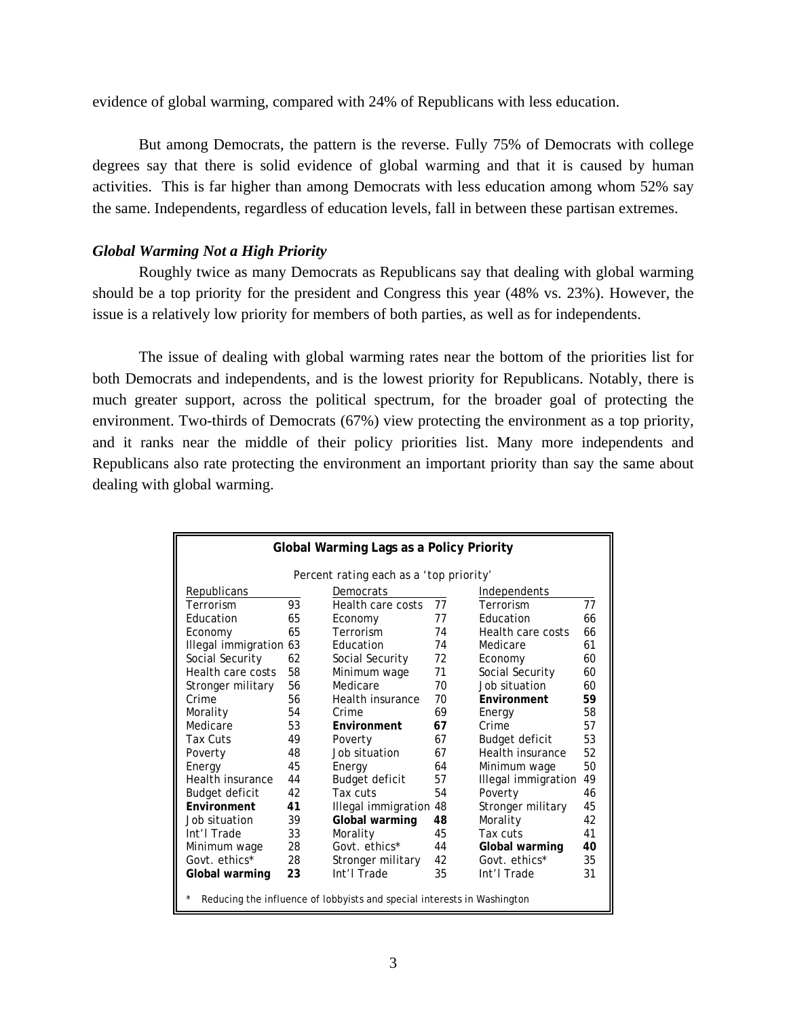evidence of global warming, compared with 24% of Republicans with less education.

 But among Democrats, the pattern is the reverse. Fully 75% of Democrats with college degrees say that there is solid evidence of global warming and that it is caused by human activities. This is far higher than among Democrats with less education among whom 52% say the same. Independents, regardless of education levels, fall in between these partisan extremes.

# *Global Warming Not a High Priority*

 Roughly twice as many Democrats as Republicans say that dealing with global warming should be a top priority for the president and Congress this year (48% vs. 23%). However, the issue is a relatively low priority for members of both parties, as well as for independents.

 The issue of dealing with global warming rates near the bottom of the priorities list for both Democrats and independents, and is the lowest priority for Republicans. Notably, there is much greater support, across the political spectrum, for the broader goal of protecting the environment. Two-thirds of Democrats (67%) view protecting the environment as a top priority, and it ranks near the middle of their policy priorities list. Many more independents and Republicans also rate protecting the environment an important priority than say the same about dealing with global warming.

| Global Warming Lags as a Policy Priority                                |    |                     |    |                     |    |  |
|-------------------------------------------------------------------------|----|---------------------|----|---------------------|----|--|
| Percent rating each as a 'top priority'                                 |    |                     |    |                     |    |  |
| <b>Republicans</b>                                                      |    | Democrats           |    | Independents        |    |  |
| Terrorism                                                               | 93 | Health care costs   | 77 | Terrorism           | 77 |  |
| Education                                                               | 65 | Economy             | 77 | <b>Education</b>    | 66 |  |
| Economy                                                                 | 65 | Terrorism           | 74 | Health care costs   | 66 |  |
| Illegal immigration 63                                                  |    | Education           | 74 | Medicare            | 61 |  |
| Social Security                                                         | 62 | Social Security     | 72 | Economy             | 60 |  |
| Health care costs                                                       | 58 | Minimum wage        | 71 | Social Security     | 60 |  |
| Stronger military                                                       | 56 | Medicare            | 70 | Job situation       | 60 |  |
| Crime                                                                   | 56 | Health insurance    | 70 | Environment         | 59 |  |
| Morality                                                                | 54 | Crime               | 69 | Energy              | 58 |  |
| Medicare                                                                | 53 | Environment         | 67 | Crime               | 57 |  |
| Tax Cuts                                                                | 49 | Poverty             | 67 | Budget deficit      | 53 |  |
| Poverty                                                                 | 48 | Job situation       | 67 | Health insurance    | 52 |  |
| Energy                                                                  | 45 | Energy              | 64 | Minimum wage        | 50 |  |
| Health insurance                                                        | 44 | Budget deficit      | 57 | Illegal immigration | 49 |  |
| Budget deficit                                                          | 42 | Tax cuts            | 54 | Poverty             | 46 |  |
| Fnvironment                                                             | 41 | Illegal immigration | 48 | Stronger military   | 45 |  |
| Job situation                                                           | 39 | Global warming      | 48 | Morality            | 42 |  |
| Int'l Trade                                                             | 33 | Morality            | 45 | Tax cuts            | 41 |  |
| Minimum wage                                                            | 28 | Govt. ethics*       | 44 | Global warming      | 40 |  |
| Govt. ethics*                                                           | 28 | Stronger military   | 42 | Govt. ethics*       | 35 |  |
| Global warming                                                          | 23 | Int'l Trade         | 35 | Int'l Trade         | 31 |  |
|                                                                         |    |                     |    |                     |    |  |
| Reducing the influence of lobbyists and special interests in Washington |    |                     |    |                     |    |  |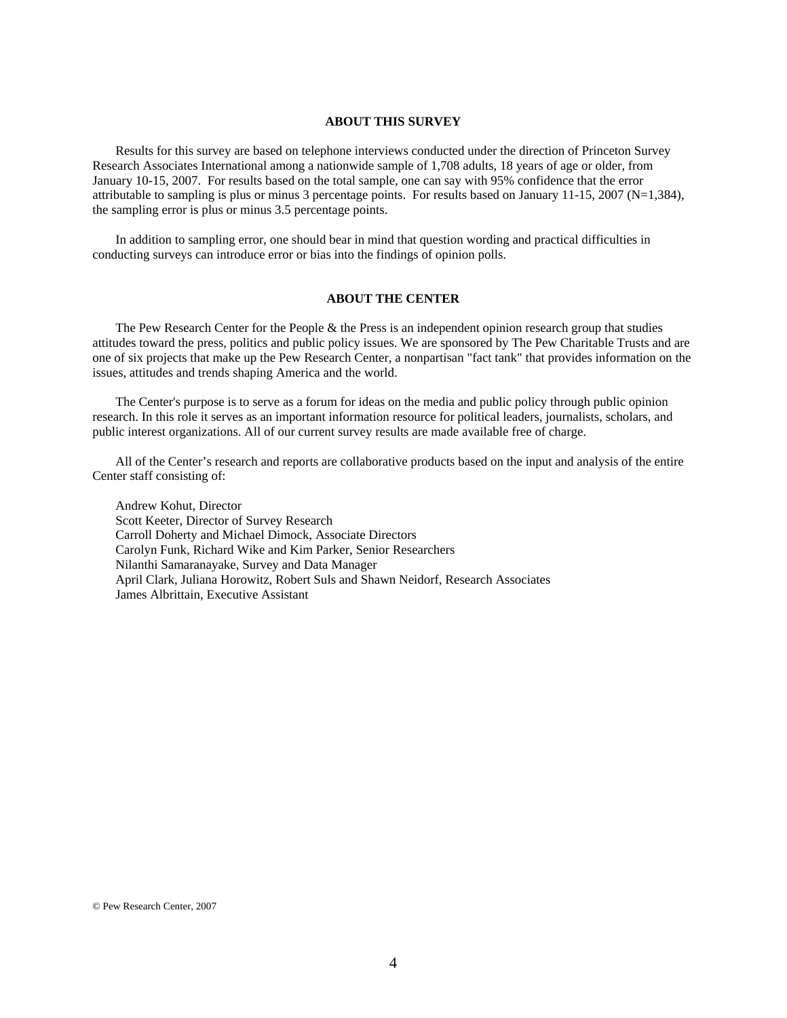#### **ABOUT THIS SURVEY**

 Results for this survey are based on telephone interviews conducted under the direction of Princeton Survey Research Associates International among a nationwide sample of 1,708 adults, 18 years of age or older, from January 10-15, 2007. For results based on the total sample, one can say with 95% confidence that the error attributable to sampling is plus or minus 3 percentage points. For results based on January 11-15, 2007 (N=1,384), the sampling error is plus or minus 3.5 percentage points.

 In addition to sampling error, one should bear in mind that question wording and practical difficulties in conducting surveys can introduce error or bias into the findings of opinion polls.

#### **ABOUT THE CENTER**

 The Pew Research Center for the People & the Press is an independent opinion research group that studies attitudes toward the press, politics and public policy issues. We are sponsored by The Pew Charitable Trusts and are one of six projects that make up the Pew Research Center, a nonpartisan "fact tank" that provides information on the issues, attitudes and trends shaping America and the world.

 The Center's purpose is to serve as a forum for ideas on the media and public policy through public opinion research. In this role it serves as an important information resource for political leaders, journalists, scholars, and public interest organizations. All of our current survey results are made available free of charge.

 All of the Center's research and reports are collaborative products based on the input and analysis of the entire Center staff consisting of:

 Andrew Kohut, Director Scott Keeter, Director of Survey Research Carroll Doherty and Michael Dimock, Associate Directors Carolyn Funk, Richard Wike and Kim Parker, Senior Researchers Nilanthi Samaranayake, Survey and Data Manager April Clark, Juliana Horowitz, Robert Suls and Shawn Neidorf, Research Associates James Albrittain, Executive Assistant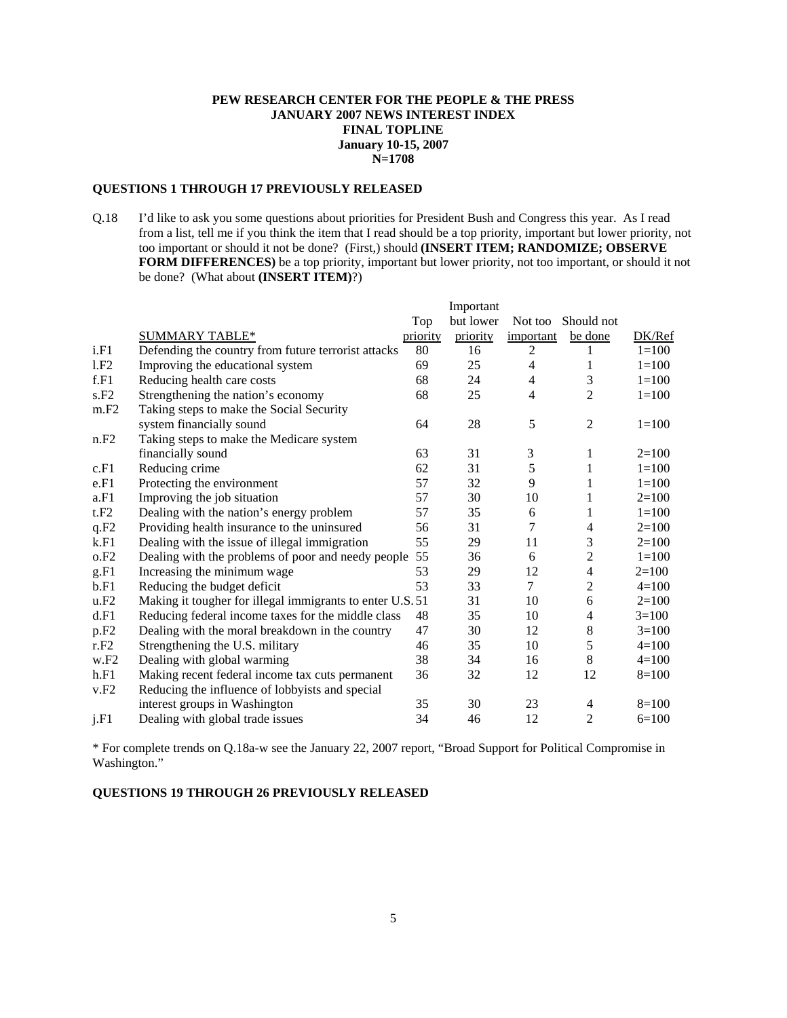## **PEW RESEARCH CENTER FOR THE PEOPLE & THE PRESS JANUARY 2007 NEWS INTEREST INDEX FINAL TOPLINE January 10-15, 2007 N=1708**

# **QUESTIONS 1 THROUGH 17 PREVIOUSLY RELEASED**

Q.18 I'd like to ask you some questions about priorities for President Bush and Congress this year. As I read from a list, tell me if you think the item that I read should be a top priority, important but lower priority, not too important or should it not be done? (First,) should **(INSERT ITEM; RANDOMIZE; OBSERVE FORM DIFFERENCES)** be a top priority, important but lower priority, not too important, or should it not be done? (What about **(INSERT ITEM)**?)

|                  |                                                           |                 | Important |                |                |           |
|------------------|-----------------------------------------------------------|-----------------|-----------|----------------|----------------|-----------|
|                  |                                                           | Top             | but lower | Not too        | Should not     |           |
|                  | <b>SUMMARY TABLE*</b>                                     | <u>priority</u> | priority  | important      | be done        | DK/Ref    |
| i.F1             | Defending the country from future terrorist attacks       | 80              | 16        | 2              |                | $1 = 100$ |
| 1.F2             | Improving the educational system                          | 69              | 25        | 4              | 1              | $1 = 100$ |
| f.F1             | Reducing health care costs                                | 68              | 24        | 4              | 3              | $1 = 100$ |
| s.F2             | Strengthening the nation's economy                        | 68              | 25        | 4              | 2              | $1 = 100$ |
| m.F2             | Taking steps to make the Social Security                  |                 |           |                |                |           |
|                  | system financially sound                                  | 64              | 28        | 5              | $\mathfrak{2}$ | $1 = 100$ |
| n.F2             | Taking steps to make the Medicare system                  |                 |           |                |                |           |
|                  | financially sound                                         | 63              | 31        | $\mathfrak{Z}$ | 1              | $2=100$   |
| c.F1             | Reducing crime                                            | 62              | 31        | 5              | 1              | $1 = 100$ |
| e.F1             | Protecting the environment                                | 57              | 32        | 9              | 1              | $1 = 100$ |
| a.F1             | Improving the job situation                               | 57              | 30        | 10             | 1              | $2=100$   |
| t.F2             | Dealing with the nation's energy problem                  | 57              | 35        | 6              | 1              | $1 = 100$ |
| q.F2             | Providing health insurance to the uninsured               | 56              | 31        | 7              | $\overline{4}$ | $2=100$   |
| k.F1             | Dealing with the issue of illegal immigration             | 55              | 29        | 11             | 3              | $2=100$   |
| o.F2             | Dealing with the problems of poor and needy people        | 55              | 36        | 6              | $\overline{2}$ | $1 = 100$ |
| g.F1             | Increasing the minimum wage                               | 53              | 29        | 12             | $\overline{4}$ | $2=100$   |
| b.F1             | Reducing the budget deficit                               | 53              | 33        | $\tau$         | $\overline{c}$ | $4=100$   |
| u.F2             | Making it tougher for illegal immigrants to enter U.S. 51 |                 | 31        | 10             | 6              | $2=100$   |
| d.F1             | Reducing federal income taxes for the middle class        | 48              | 35        | 10             | $\overline{4}$ | $3=100$   |
| p.F <sub>2</sub> | Dealing with the moral breakdown in the country           | 47              | 30        | 12             | 8              | $3=100$   |
| r.F2             | Strengthening the U.S. military                           | 46              | 35        | 10             | 5              | $4=100$   |
| w.F2             | Dealing with global warming                               | 38              | 34        | 16             | 8              | $4 = 100$ |
| h.F1             | Making recent federal income tax cuts permanent           | 36              | 32        | 12             | 12             | $8=100$   |
| v.F2             | Reducing the influence of lobbyists and special           |                 |           |                |                |           |
|                  | interest groups in Washington                             | 35              | 30        | 23             | 4              | $8=100$   |
| j.F1             | Dealing with global trade issues                          | 34              | 46        | 12             | $\overline{c}$ | $6=100$   |

\* For complete trends on Q.18a-w see the January 22, 2007 report, "Broad Support for Political Compromise in Washington."

### **QUESTIONS 19 THROUGH 26 PREVIOUSLY RELEASED**